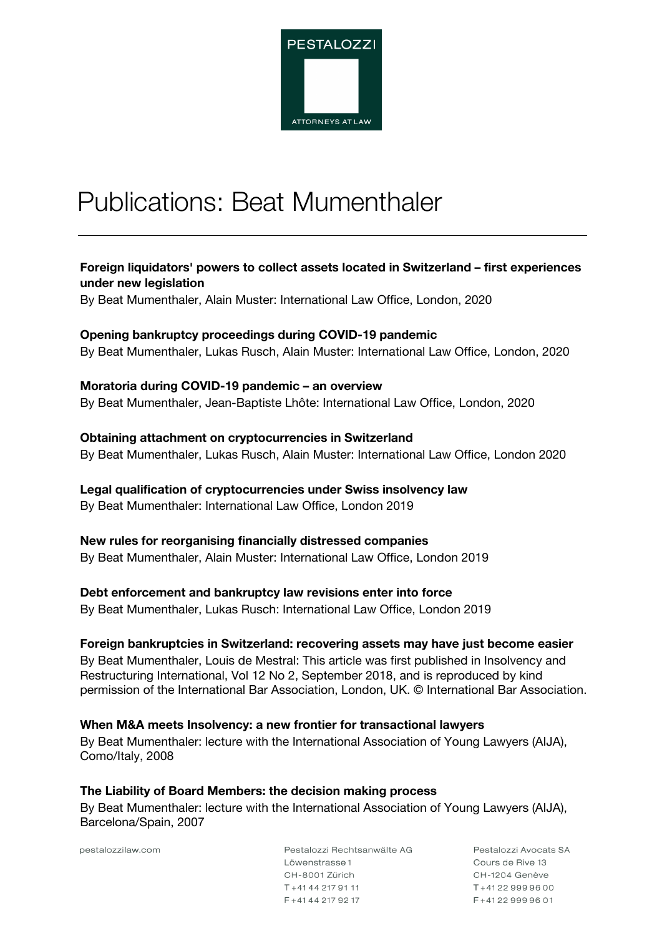

# Publications: Beat Mumenthaler

### **Foreign liquidators' powers to collect assets located in Switzerland – first experiences under new legislation**

By Beat Mumenthaler, Alain Muster: International Law Office, London, 2020

#### **Opening bankruptcy proceedings during COVID-19 pandemic**

By Beat Mumenthaler, Lukas Rusch, Alain Muster: International Law Office, London, 2020

#### **Moratoria during COVID-19 pandemic – an overview**

By Beat Mumenthaler, Jean-Baptiste Lhôte: International Law Office, London, 2020

#### **Obtaining attachment on cryptocurrencies in Switzerland**

By Beat Mumenthaler, Lukas Rusch, Alain Muster: International Law Office, London 2020

#### **Legal qualification of cryptocurrencies under Swiss insolvency law**

By Beat Mumenthaler: International Law Office, London 2019

# **New rules for reorganising financially distressed companies**

By Beat Mumenthaler, Alain Muster: International Law Office, London 2019

#### **Debt enforcement and bankruptcy law revisions enter into force**

By Beat Mumenthaler, Lukas Rusch: International Law Office, London 2019

#### **Foreign bankruptcies in Switzerland: recovering assets may have just become easier**

By Beat Mumenthaler, Louis de Mestral: This article was first published in Insolvency and Restructuring International, Vol 12 No 2, September 2018, and is reproduced by kind permission of the International Bar Association, London, UK. © International Bar Association.

# **When M&A meets Insolvency: a new frontier for transactional lawyers**

By Beat Mumenthaler: lecture with the International Association of Young Lawyers (AIJA), Como/Italy, 2008

#### **The Liability of Board Members: the decision making process**

By Beat Mumenthaler: lecture with the International Association of Young Lawyers (AIJA), Barcelona/Spain, 2007

pestalozzilaw.com

Pestalozzi Rechtsanwälte AG Löwenstrasse 1 CH-8001 Zürich T+4144 217 91 11  $F + 41442179217$ 

Pestalozzi Avocats SA Cours de Bive 13 CH-1204 Genève  $T + 41229999600$  $F + 41229999601$